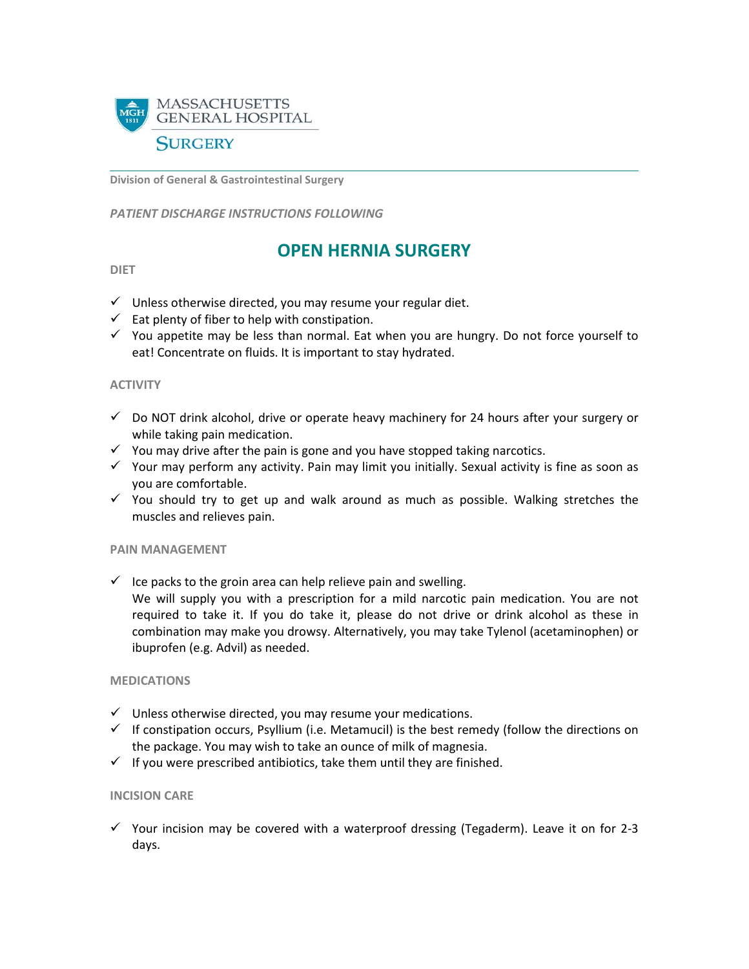

**Division of General & Gastrointestinal Surgery**

*PATIENT DISCHARGE INSTRUCTIONS FOLLOWING* 

# **OPEN HERNIA SURGERY**

# **DIET**

- $\checkmark$  Unless otherwise directed, you may resume your regular diet.
- $\checkmark$  Eat plenty of fiber to help with constipation.
- $\checkmark$  You appetite may be less than normal. Eat when you are hungry. Do not force yourself to eat! Concentrate on fluids. It is important to stay hydrated.

## **ACTIVITY**

- $\checkmark$  Do NOT drink alcohol, drive or operate heavy machinery for 24 hours after your surgery or while taking pain medication.
- $\checkmark$  You may drive after the pain is gone and you have stopped taking narcotics.
- $\checkmark$  Your may perform any activity. Pain may limit you initially. Sexual activity is fine as soon as you are comfortable.
- $\checkmark$  You should try to get up and walk around as much as possible. Walking stretches the muscles and relieves pain.

#### **PAIN MANAGEMENT**

 $\checkmark$  Ice packs to the groin area can help relieve pain and swelling.

We will supply you with a prescription for a mild narcotic pain medication. You are not required to take it. If you do take it, please do not drive or drink alcohol as these in combination may make you drowsy. Alternatively, you may take Tylenol (acetaminophen) or ibuprofen (e.g. Advil) as needed.

#### **MEDICATIONS**

- $\checkmark$  Unless otherwise directed, you may resume your medications.
- $\checkmark$  If constipation occurs, Psyllium (i.e. Metamucil) is the best remedy (follow the directions on the package. You may wish to take an ounce of milk of magnesia.
- $\checkmark$  If you were prescribed antibiotics, take them until they are finished.

## **INCISION CARE**

 $\checkmark$  Your incision may be covered with a waterproof dressing (Tegaderm). Leave it on for 2-3 days.